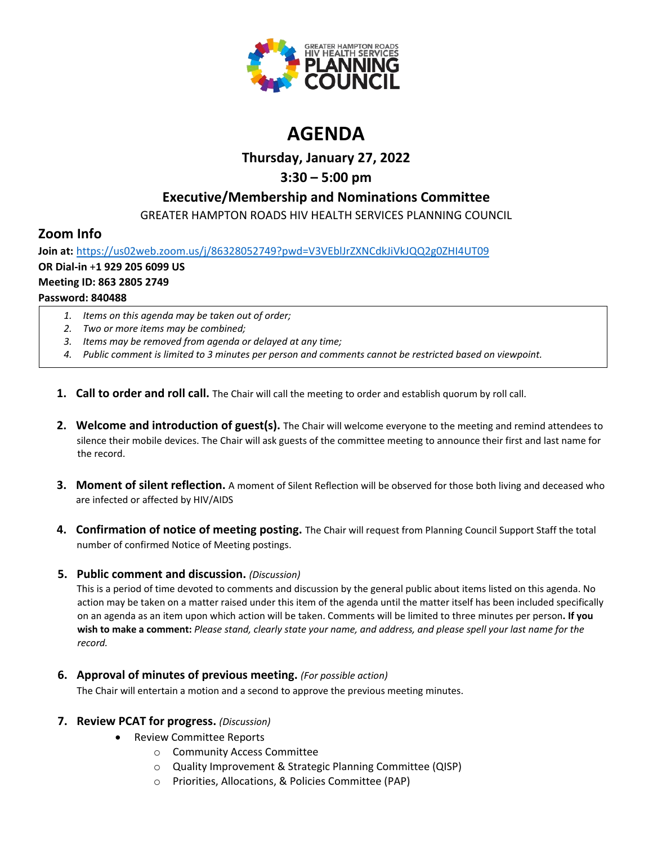

# **AGENDA**

### **Thursday, January 27, 2022**

### **3:30 – 5:00 pm**

### **Executive/Membership and Nominations Committee**

GREATER HAMPTON ROADS HIV HEALTH SERVICES PLANNING COUNCIL

## **Zoom Info**

**Join at:** <https://us02web.zoom.us/j/86328052749?pwd=V3VEblJrZXNCdkJiVkJQQ2g0ZHI4UT09> **OR Dial-in** +**1 929 205 6099 US Meeting ID: 863 2805 2749 Password: 840488**

- *1. Items on this agenda may be taken out of order;*
- *2. Two or more items may be combined;*
- *3. Items may be removed from agenda or delayed at any time;*
- *4. Public comment is limited to 3 minutes per person and comments cannot be restricted based on viewpoint.*
- **1. Call to order and roll call.** The Chair will call the meeting to order and establish quorum by roll call.
- **2. Welcome and introduction of guest(s).** The Chair will welcome everyone to the meeting and remind attendees to silence their mobile devices. The Chair will ask guests of the committee meeting to announce their first and last name for the record.
- **3. Moment of silent reflection.** A moment of Silent Reflection will be observed for those both living and deceased who are infected or affected by HIV/AIDS
- **4. Confirmation of notice of meeting posting.** The Chair will request from Planning Council Support Staff the total number of confirmed Notice of Meeting postings.

#### **5. Public comment and discussion.** *(Discussion)*

This is a period of time devoted to comments and discussion by the general public about items listed on this agenda. No action may be taken on a matter raised under this item of the agenda until the matter itself has been included specifically on an agenda as an item upon which action will be taken. Comments will be limited to three minutes per person**. If you wish to make a comment:** *Please stand, clearly state your name, and address, and please spell your last name for the record.*

**6. Approval of minutes of previous meeting.** *(For possible action)*

The Chair will entertain a motion and a second to approve the previous meeting minutes.

#### **7. Review PCAT for progress.** *(Discussion)*

- Review Committee Reports
	- o Community Access Committee
	- o Quality Improvement & Strategic Planning Committee (QISP)
	- o Priorities, Allocations, & Policies Committee (PAP)